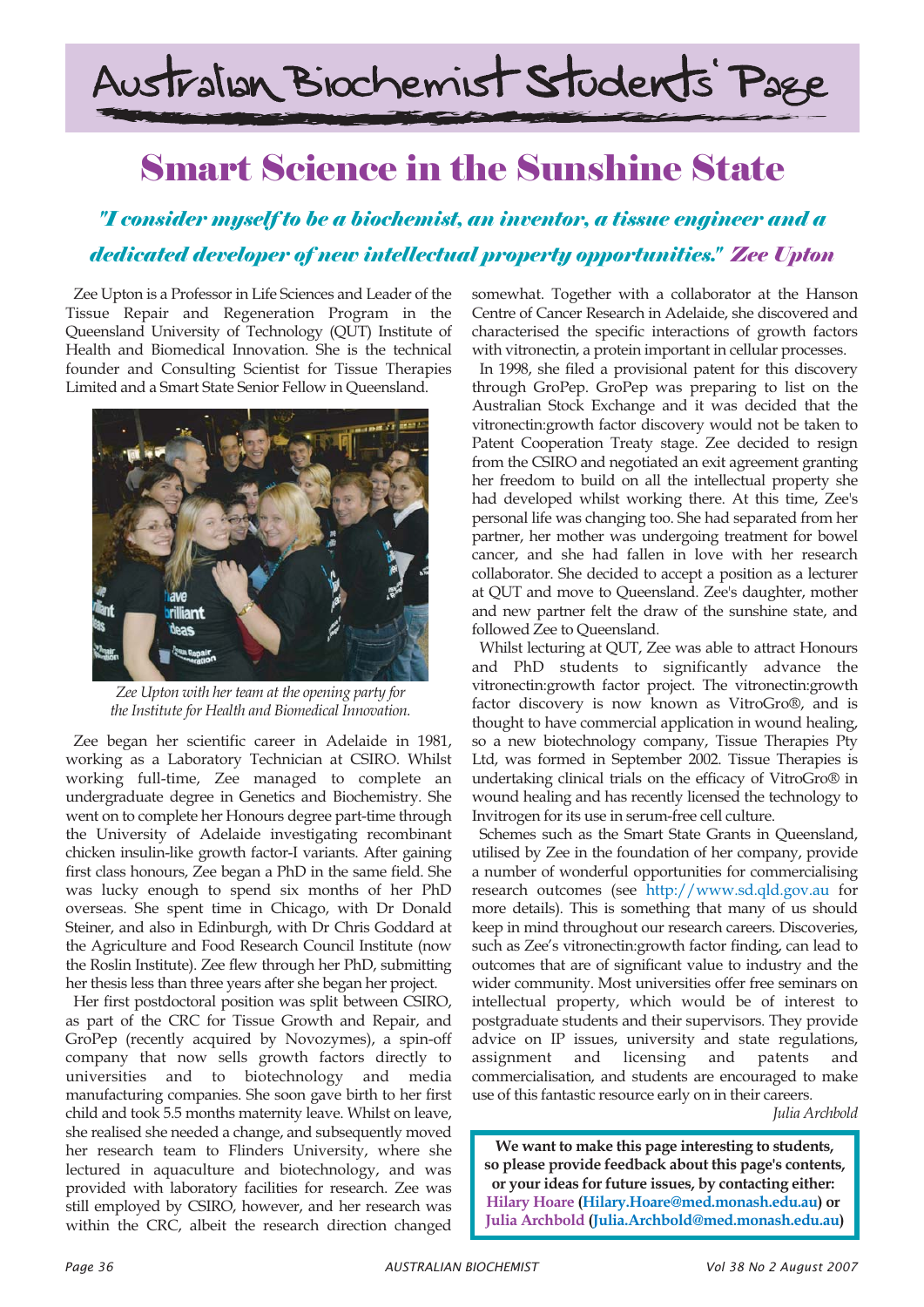# Australian Biochemist Students' Page

## Smart Science in the Sunshine State

### *"I consider myself to be a biochemist, an inventor, a tissue engineer and a dedicated developer of new intellectual property opportunities." Zee Upton*

Zee Upton is a Professor in Life Sciences and Leader of the Tissue Repair and Regeneration Program in the Queensland University of Technology (QUT) Institute of Health and Biomedical Innovation. She is the technical founder and Consulting Scientist for Tissue Therapies Limited and a Smart State Senior Fellow in Queensland.



*Zee Upton with her team at the opening party for the Institute for Health and Biomedical Innovation.*

Zee began her scientific career in Adelaide in 1981, working as a Laboratory Technician at CSIRO. Whilst working full-time, Zee managed to complete an undergraduate degree in Genetics and Biochemistry. She went on to complete her Honours degree part-time through the University of Adelaide investigating recombinant chicken insulin-like growth factor-I variants. After gaining first class honours, Zee began a PhD in the same field. She was lucky enough to spend six months of her PhD overseas. She spent time in Chicago, with Dr Donald Steiner, and also in Edinburgh, with Dr Chris Goddard at the Agriculture and Food Research Council Institute (now the Roslin Institute). Zee flew through her PhD, submitting her thesis less than three years after she began her project.

Her first postdoctoral position was split between CSIRO, as part of the CRC for Tissue Growth and Repair, and GroPep (recently acquired by Novozymes), a spin-off company that now sells growth factors directly to universities and to biotechnology and media manufacturing companies. She soon gave birth to her first child and took 5.5 months maternity leave. Whilst on leave, she realised she needed a change, and subsequently moved her research team to Flinders University, where she lectured in aquaculture and biotechnology, and was provided with laboratory facilities for research. Zee was still employed by CSIRO, however, and her research was within the CRC, albeit the research direction changed

somewhat. Together with a collaborator at the Hanson Centre of Cancer Research in Adelaide, she discovered and characterised the specific interactions of growth factors with vitronectin, a protein important in cellular processes.

In 1998, she filed a provisional patent for this discovery through GroPep. GroPep was preparing to list on the Australian Stock Exchange and it was decided that the vitronectin:growth factor discovery would not be taken to Patent Cooperation Treaty stage. Zee decided to resign from the CSIRO and negotiated an exit agreement granting her freedom to build on all the intellectual property she had developed whilst working there. At this time, Zee's personal life was changing too. She had separated from her partner, her mother was undergoing treatment for bowel cancer, and she had fallen in love with her research collaborator. She decided to accept a position as a lecturer at QUT and move to Queensland. Zee's daughter, mother and new partner felt the draw of the sunshine state, and followed Zee to Queensland.

Whilst lecturing at QUT, Zee was able to attract Honours and PhD students to significantly advance the vitronectin:growth factor project. The vitronectin:growth factor discovery is now known as VitroGro®, and is thought to have commercial application in wound healing, so a new biotechnology company, Tissue Therapies Pty Ltd, was formed in September 2002. Tissue Therapies is undertaking clinical trials on the efficacy of VitroGro® in wound healing and has recently licensed the technology to Invitrogen for its use in serum-free cell culture.

Schemes such as the Smart State Grants in Queensland, utilised by Zee in the foundation of her company, provide a number of wonderful opportunities for commercialising research outcomes (see http://www.sd.qld.gov.au for more details). This is something that many of us should keep in mind throughout our research careers. Discoveries, such as Zee's vitronectin:growth factor finding, can lead to outcomes that are of significant value to industry and the wider community. Most universities offer free seminars on intellectual property, which would be of interest to postgraduate students and their supervisors. They provide advice on IP issues, university and state regulations, assignment and licensing and patents and commercialisation, and students are encouraged to make use of this fantastic resource early on in their careers.

*Julia Archbold*

**We want to make this page interesting to students, so please provide feedback about this page's contents, or your ideas for future issues, by contacting either: Hilary Hoare (Hilary.Hoare@med.monash.edu.au) or Julia Archbold (Julia.Archbold@med.monash.edu.au)**